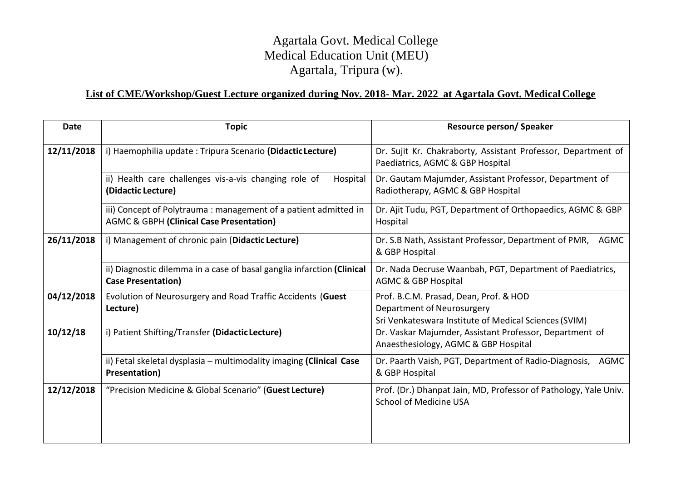## Agartala Govt. Medical College Medical Education Unit (MEU) Agartala, Tripura (w).

## **List of CME/Workshop/Guest Lecture organized during Nov. 2018- Mar. 2022 at Agartala Govt. Medical College**

| <b>Date</b> | <b>Topic</b>                                                                                                | <b>Resource person/Speaker</b>                                                                                                |
|-------------|-------------------------------------------------------------------------------------------------------------|-------------------------------------------------------------------------------------------------------------------------------|
| 12/11/2018  | i) Haemophilia update: Tripura Scenario (Didactic Lecture)                                                  | Dr. Sujit Kr. Chakraborty, Assistant Professor, Department of<br>Paediatrics, AGMC & GBP Hospital                             |
|             | ii) Health care challenges vis-a-vis changing role of<br>Hospital<br>(Didactic Lecture)                     | Dr. Gautam Majumder, Assistant Professor, Department of<br>Radiotherapy, AGMC & GBP Hospital                                  |
|             | iii) Concept of Polytrauma: management of a patient admitted in<br>AGMC & GBPH (Clinical Case Presentation) | Dr. Ajit Tudu, PGT, Department of Orthopaedics, AGMC & GBP<br>Hospital                                                        |
| 26/11/2018  | i) Management of chronic pain (Didactic Lecture)                                                            | Dr. S.B Nath, Assistant Professor, Department of PMR, AGMC<br>& GBP Hospital                                                  |
|             | ii) Diagnostic dilemma in a case of basal ganglia infarction (Clinical<br><b>Case Presentation)</b>         | Dr. Nada Decruse Waanbah, PGT, Department of Paediatrics,<br><b>AGMC &amp; GBP Hospital</b>                                   |
| 04/12/2018  | Evolution of Neurosurgery and Road Traffic Accidents (Guest<br>Lecture)                                     | Prof. B.C.M. Prasad, Dean, Prof. & HOD<br>Department of Neurosurgery<br>Sri Venkateswara Institute of Medical Sciences (SVIM) |
| 10/12/18    | i) Patient Shifting/Transfer (Didactic Lecture)                                                             | Dr. Vaskar Majumder, Assistant Professor, Department of<br>Anaesthesiology, AGMC & GBP Hospital                               |
|             | ii) Fetal skeletal dysplasia - multimodality imaging (Clinical Case<br>Presentation)                        | Dr. Paarth Vaish, PGT, Department of Radio-Diagnosis, AGMC<br>& GBP Hospital                                                  |
| 12/12/2018  | "Precision Medicine & Global Scenario" (Guest Lecture)                                                      | Prof. (Dr.) Dhanpat Jain, MD, Professor of Pathology, Yale Univ.<br>School of Medicine USA                                    |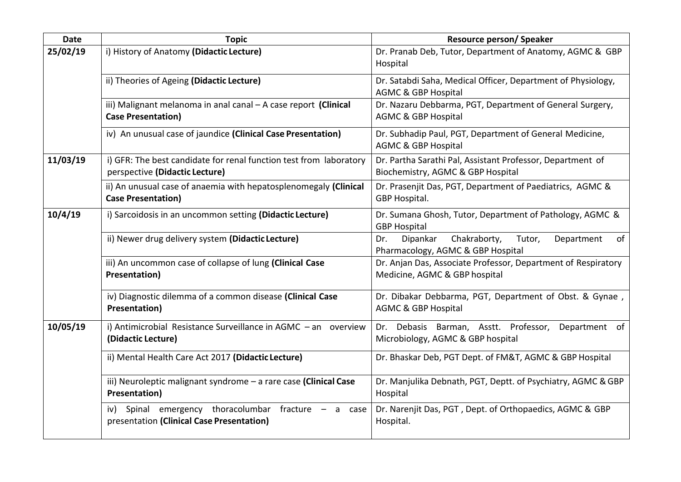| <b>Date</b> | <b>Topic</b>                                                                                           | <b>Resource person/Speaker</b>                                                                     |
|-------------|--------------------------------------------------------------------------------------------------------|----------------------------------------------------------------------------------------------------|
| 25/02/19    | i) History of Anatomy (Didactic Lecture)                                                               | Dr. Pranab Deb, Tutor, Department of Anatomy, AGMC & GBP<br>Hospital                               |
|             | ii) Theories of Ageing (Didactic Lecture)                                                              | Dr. Satabdi Saha, Medical Officer, Department of Physiology,<br><b>AGMC &amp; GBP Hospital</b>     |
|             | iii) Malignant melanoma in anal canal - A case report (Clinical<br><b>Case Presentation)</b>           | Dr. Nazaru Debbarma, PGT, Department of General Surgery,<br><b>AGMC &amp; GBP Hospital</b>         |
|             | iv) An unusual case of jaundice (Clinical Case Presentation)                                           | Dr. Subhadip Paul, PGT, Department of General Medicine,<br><b>AGMC &amp; GBP Hospital</b>          |
| 11/03/19    | i) GFR: The best candidate for renal function test from laboratory<br>perspective (Didactic Lecture)   | Dr. Partha Sarathi Pal, Assistant Professor, Department of<br>Biochemistry, AGMC & GBP Hospital    |
|             | ii) An unusual case of anaemia with hepatosplenomegaly (Clinical<br><b>Case Presentation)</b>          | Dr. Prasenjit Das, PGT, Department of Paediatrics, AGMC &<br>GBP Hospital.                         |
| 10/4/19     | i) Sarcoidosis in an uncommon setting (Didactic Lecture)                                               | Dr. Sumana Ghosh, Tutor, Department of Pathology, AGMC &<br><b>GBP Hospital</b>                    |
|             | ii) Newer drug delivery system (Didactic Lecture)                                                      | Chakraborty,<br>Tutor,<br>Department<br>Dipankar<br>Dr.<br>of<br>Pharmacology, AGMC & GBP Hospital |
|             | iii) An uncommon case of collapse of lung (Clinical Case<br><b>Presentation)</b>                       | Dr. Anjan Das, Associate Professor, Department of Respiratory<br>Medicine, AGMC & GBP hospital     |
|             | iv) Diagnostic dilemma of a common disease (Clinical Case<br>Presentation)                             | Dr. Dibakar Debbarma, PGT, Department of Obst. & Gynae,<br><b>AGMC &amp; GBP Hospital</b>          |
| 10/05/19    | i) Antimicrobial Resistance Surveillance in AGMC - an overview<br>(Didactic Lecture)                   | Dr. Debasis Barman, Asstt. Professor,<br>Department of<br>Microbiology, AGMC & GBP hospital        |
|             | ii) Mental Health Care Act 2017 (Didactic Lecture)                                                     | Dr. Bhaskar Deb, PGT Dept. of FM&T, AGMC & GBP Hospital                                            |
|             | iii) Neuroleptic malignant syndrome - a rare case (Clinical Case<br>Presentation)                      | Dr. Manjulika Debnath, PGT, Deptt. of Psychiatry, AGMC & GBP<br>Hospital                           |
|             | Spinal emergency thoracolumbar fracture $-$ a case<br>iv)<br>presentation (Clinical Case Presentation) | Dr. Narenjit Das, PGT, Dept. of Orthopaedics, AGMC & GBP<br>Hospital.                              |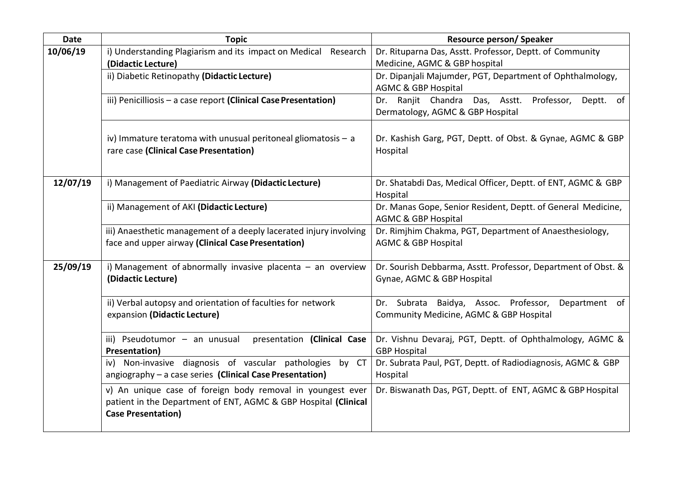| <b>Date</b> | <b>Topic</b>                                                                                                                                               | <b>Resource person/ Speaker</b>                                                                   |
|-------------|------------------------------------------------------------------------------------------------------------------------------------------------------------|---------------------------------------------------------------------------------------------------|
| 10/06/19    | i) Understanding Plagiarism and its impact on Medical Research<br>(Didactic Lecture)                                                                       | Dr. Rituparna Das, Asstt. Professor, Deptt. of Community<br>Medicine, AGMC & GBP hospital         |
|             | ii) Diabetic Retinopathy (Didactic Lecture)                                                                                                                | Dr. Dipanjali Majumder, PGT, Department of Ophthalmology,<br><b>AGMC &amp; GBP Hospital</b>       |
|             | iii) Penicilliosis - a case report (Clinical Case Presentation)                                                                                            | Dr. Ranjit Chandra<br>Das, Asstt. Professor,<br>Deptt. of<br>Dermatology, AGMC & GBP Hospital     |
|             | iv) Immature teratoma with unusual peritoneal gliomatosis $-$ a<br>rare case (Clinical Case Presentation)                                                  | Dr. Kashish Garg, PGT, Deptt. of Obst. & Gynae, AGMC & GBP<br>Hospital                            |
| 12/07/19    | i) Management of Paediatric Airway (Didactic Lecture)                                                                                                      | Dr. Shatabdi Das, Medical Officer, Deptt. of ENT, AGMC & GBP<br>Hospital                          |
|             | ii) Management of AKI (Didactic Lecture)                                                                                                                   | Dr. Manas Gope, Senior Resident, Deptt. of General Medicine,<br><b>AGMC &amp; GBP Hospital</b>    |
|             | iii) Anaesthetic management of a deeply lacerated injury involving<br>face and upper airway (Clinical Case Presentation)                                   | Dr. Rimjhim Chakma, PGT, Department of Anaesthesiology,<br><b>AGMC &amp; GBP Hospital</b>         |
| 25/09/19    | i) Management of abnormally invasive placenta $-$ an overview<br>(Didactic Lecture)                                                                        | Dr. Sourish Debbarma, Asstt. Professor, Department of Obst. &<br>Gynae, AGMC & GBP Hospital       |
|             | ii) Verbal autopsy and orientation of faculties for network<br>expansion (Didactic Lecture)                                                                | Dr. Subrata Baidya, Assoc. Professor,<br>Department of<br>Community Medicine, AGMC & GBP Hospital |
|             | presentation (Clinical Case<br>iii) Pseudotumor - an unusual<br>Presentation)                                                                              | Dr. Vishnu Devaraj, PGT, Deptt. of Ophthalmology, AGMC &<br><b>GBP Hospital</b>                   |
|             | iv) Non-invasive diagnosis of vascular pathologies by CT<br>angiography - a case series (Clinical Case Presentation)                                       | Dr. Subrata Paul, PGT, Deptt. of Radiodiagnosis, AGMC & GBP<br>Hospital                           |
|             | v) An unique case of foreign body removal in youngest ever<br>patient in the Department of ENT, AGMC & GBP Hospital (Clinical<br><b>Case Presentation)</b> | Dr. Biswanath Das, PGT, Deptt. of ENT, AGMC & GBP Hospital                                        |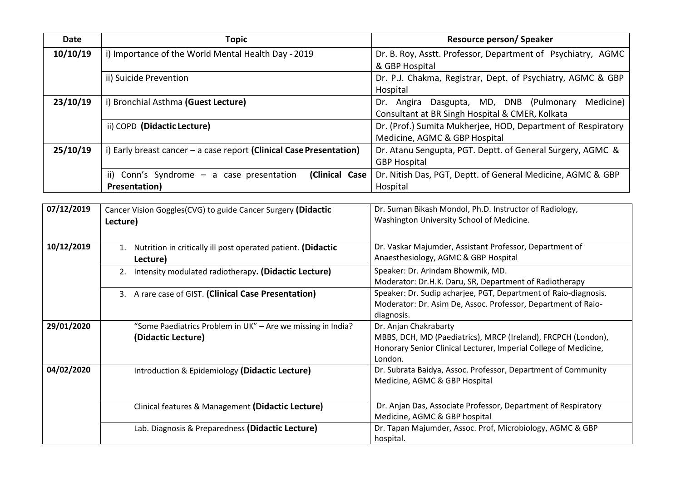| <b>Date</b> | <b>Topic</b>                                                                                                                                                                     | <b>Resource person/Speaker</b>                                                                                                                                        |  |
|-------------|----------------------------------------------------------------------------------------------------------------------------------------------------------------------------------|-----------------------------------------------------------------------------------------------------------------------------------------------------------------------|--|
| 10/10/19    | i) Importance of the World Mental Health Day - 2019                                                                                                                              | Dr. B. Roy, Asstt. Professor, Department of Psychiatry, AGMC<br>& GBP Hospital                                                                                        |  |
|             | ii) Suicide Prevention                                                                                                                                                           | Dr. P.J. Chakma, Registrar, Dept. of Psychiatry, AGMC & GBP<br>Hospital                                                                                               |  |
| 23/10/19    | i) Bronchial Asthma (Guest Lecture)                                                                                                                                              | Dr. Angira Dasgupta, MD, DNB (Pulmonary Medicine)<br>Consultant at BR Singh Hospital & CMER, Kolkata                                                                  |  |
|             | ii) COPD (Didactic Lecture)                                                                                                                                                      | Dr. (Prof.) Sumita Mukherjee, HOD, Department of Respiratory<br>Medicine, AGMC & GBP Hospital                                                                         |  |
| 25/10/19    | i) Early breast cancer $-$ a case report (Clinical Case Presentation)                                                                                                            | Dr. Atanu Sengupta, PGT. Deptt. of General Surgery, AGMC &<br><b>GBP Hospital</b>                                                                                     |  |
|             | (Clinical Case<br>ii) Conn's Syndrome $-$ a case presentation<br>Presentation)                                                                                                   | Dr. Nitish Das, PGT, Deptt. of General Medicine, AGMC & GBP<br>Hospital                                                                                               |  |
| 07/12/2019  | Dr. Suman Bikash Mondol, Ph.D. Instructor of Radiology,<br>Cancer Vision Goggles(CVG) to guide Cancer Surgery (Didactic<br>Washington University School of Medicine.<br>Lecture) |                                                                                                                                                                       |  |
| 10/12/2019  | 1. Nutrition in critically ill post operated patient. (Didactic<br>Lecture)                                                                                                      | Dr. Vaskar Majumder, Assistant Professor, Department of<br>Anaesthesiology, AGMC & GBP Hospital                                                                       |  |
|             | 2. Intensity modulated radiotherapy. (Didactic Lecture)                                                                                                                          | Speaker: Dr. Arindam Bhowmik, MD.<br>Moderator: Dr.H.K. Daru, SR, Department of Radiotherapy                                                                          |  |
|             | 3. A rare case of GIST. (Clinical Case Presentation)                                                                                                                             | Speaker: Dr. Sudip acharjee, PGT, Department of Raio-diagnosis.<br>Moderator: Dr. Asim De, Assoc. Professor, Department of Raio-<br>diagnosis.                        |  |
| 29/01/2020  | "Some Paediatrics Problem in UK" - Are we missing in India?<br>(Didactic Lecture)                                                                                                | Dr. Anjan Chakrabarty<br>MBBS, DCH, MD (Paediatrics), MRCP (Ireland), FRCPCH (London),<br>Honorary Senior Clinical Lecturer, Imperial College of Medicine,<br>London. |  |
| 04/02/2020  | Introduction & Epidemiology (Didactic Lecture)                                                                                                                                   | Dr. Subrata Baidya, Assoc. Professor, Department of Community<br>Medicine, AGMC & GBP Hospital                                                                        |  |
|             | Clinical features & Management (Didactic Lecture)                                                                                                                                | Dr. Anjan Das, Associate Professor, Department of Respiratory<br>Medicine, AGMC & GBP hospital                                                                        |  |
|             | Lab. Diagnosis & Preparedness (Didactic Lecture)                                                                                                                                 | Dr. Tapan Majumder, Assoc. Prof, Microbiology, AGMC & GBP<br>hospital.                                                                                                |  |